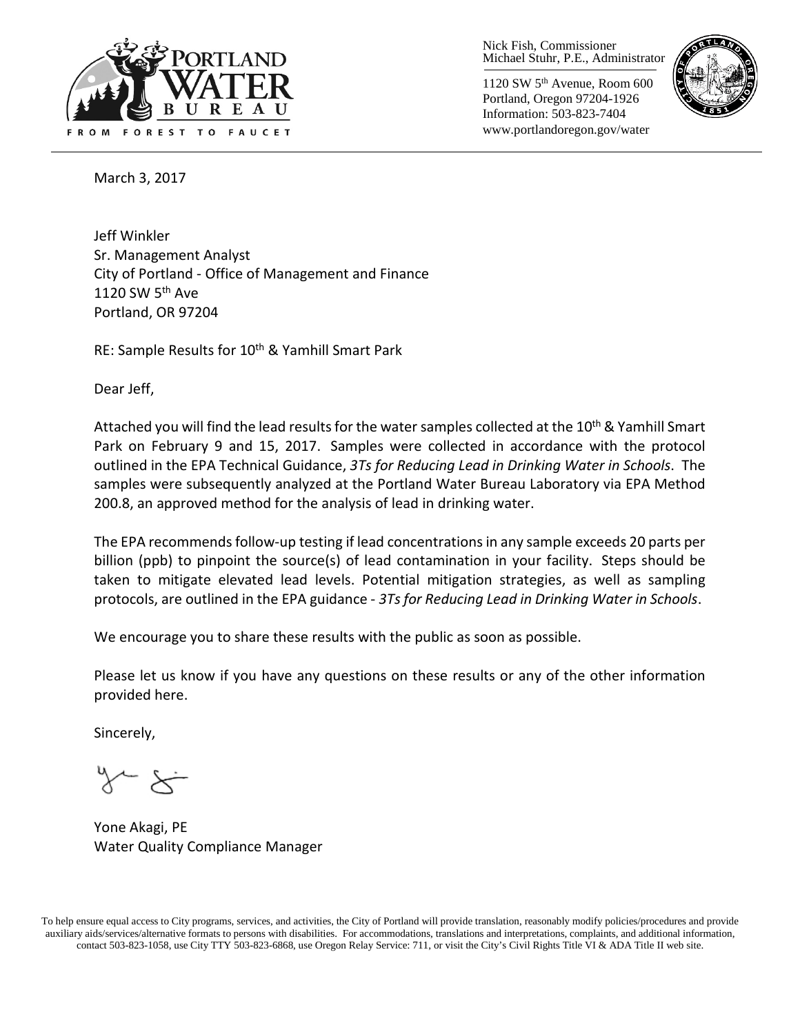

Nick Fish, Commissioner Michael Stuhr, P.E., Administrator

1120 SW 5th Avenue, Room 600 Portland, Oregon 97204-1926 Information: 503-823-7404 www.portlandoregon.gov/water



March 3, 2017

Jeff Winkler Sr. Management Analyst City of Portland - Office of Management and Finance 1120 SW  $5<sup>th</sup>$  Ave Portland, OR 97204

RE: Sample Results for 10<sup>th</sup> & Yamhill Smart Park

Dear Jeff,

Attached you will find the lead results for the water samples collected at the 10<sup>th</sup> & Yamhill Smart Park on February 9 and 15, 2017. Samples were collected in accordance with the protocol outlined in the EPA Technical Guidance, *3Ts for Reducing Lead in Drinking Water in Schools*. The samples were subsequently analyzed at the Portland Water Bureau Laboratory via EPA Method 200.8, an approved method for the analysis of lead in drinking water.

The EPA recommends follow-up testing if lead concentrations in any sample exceeds 20 parts per billion (ppb) to pinpoint the source(s) of lead contamination in your facility. Steps should be taken to mitigate elevated lead levels. Potential mitigation strategies, as well as sampling protocols, are outlined in the EPA guidance - *3Ts for Reducing Lead in Drinking Water in Schools*.

We encourage you to share these results with the public as soon as possible.

Please let us know if you have any questions on these results or any of the other information provided here.

Sincerely,

Yone Akagi, PE Water Quality Compliance Manager

To help ensure equal access to City programs, services, and activities, the City of Portland will provide translation, reasonably modify policies/procedures and provide auxiliary aids/services/alternative formats to persons with disabilities. For accommodations, translations and interpretations, complaints, and additional information, contact 503-823-1058, use City TTY 503-823-6868, use Oregon Relay Service: 711, or visi[t the City's Civil Rights Title VI & ADA Title II web site.](http://www.portlandoregon.gov/oehr/66458)